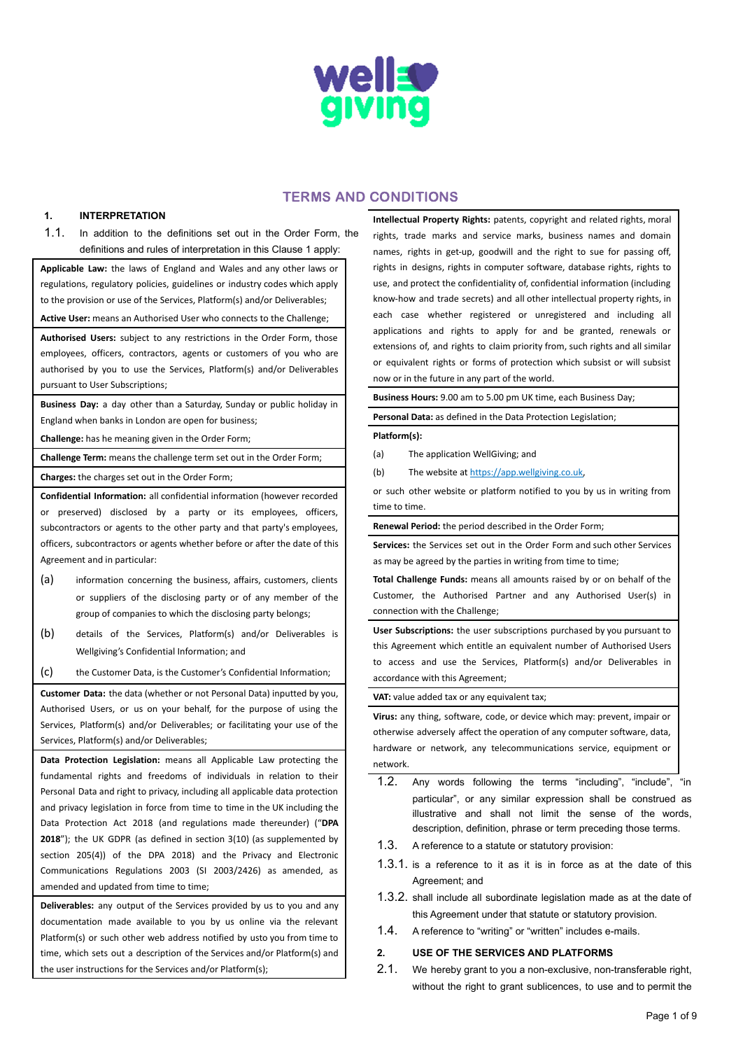

# TERMS AND CONDITIONS

#### **1. INTERPRETATION**

1.1. In addition to the definitions set out in the Order Form, the definitions and rules of interpretation in this Clause 1 apply:

**Applicable Law:** the laws of England and Wales and any other laws or regulations, regulatory policies, guidelines or industry codes which apply to the provision or use of the Services, Platform(s) and/or Deliverables;

**Active User:** means an Authorised User who connects to the Challenge;

**Authorised Users:** subject to any restrictions in the Order Form, those employees, officers, contractors, agents or customers of you who are authorised by you to use the Services, Platform(s) and/or Deliverables pursuant to User Subscriptions;

**Business Day:** a day other than a Saturday, Sunday or public holiday in England when banks in London are open for business;

**Challenge:** has he meaning given in the Order Form;

**Challenge Term:** means the challenge term set out in the Order Form;

**Charges:** the charges set out in the Order Form;

**Confidential Information:** all confidential information (however recorded or preserved) disclosed by a party or its employees, officers, subcontractors or agents to the other party and that party's employees, officers, subcontractors or agents whether before or after the date of this Agreement and in particular:

- (a) information concerning the business, affairs, customers, clients or suppliers of the disclosing party or of any member of the group of companies to which the disclosing party belongs;
- (b) details of the Services, Platform(s) and/or Deliverables is Wellgiving's Confidential Information; and

(c) the Customer Data, is the Customer's Confidential Information;

**Customer Data:** the data (whether or not Personal Data) inputted by you, Authorised Users, or us on your behalf, for the purpose of using the Services, Platform(s) and/or Deliverables; or facilitating your use of the Services, Platform(s) and/or Deliverables;

**Data Protection Legislation:** means all Applicable Law protecting the fundamental rights and freedoms of individuals in relation to their Personal Data and right to privacy, including all applicable data protection and privacy legislation in force from time to time in the UK including the Data Protection Act 2018 (and regulations made thereunder) ("**DPA** 2018"); the UK GDPR (as defined in section 3(10) (as supplemented by section 205(4)) of the DPA 2018) and the Privacy and Electronic Communications Regulations 2003 (SI 2003/2426) as amended, as amended and updated from time to time;

**Deliverables:** any output of the Services provided by us to you and any documentation made available to you by us online via the relevant Platform(s) or such other web address notified by usto you from time to time, which sets out a description of the Services and/or Platform(s) and the user instructions for the Services and/or Platform(s);

**Intellectual Property Rights:** patents, copyright and related rights, moral rights, trade marks and service marks, business names and domain names, rights in get-up, goodwill and the right to sue for passing off, rights in designs, rights in computer software, database rights, rights to use, and protect the confidentiality of, confidential information (including know-how and trade secrets) and all other intellectual property rights, in each case whether registered or unregistered and including all applications and rights to apply for and be granted, renewals or extensions of, and rights to claim priority from, such rights and all similar or equivalent rights or forms of protection which subsist or will subsist now or in the future in any part of the world.

**Business Hours:** 9.00 am to 5.00 pm UK time, each Business Day; **Personal Data:** as defined in the Data Protection Legislation; **Platform(s):**

- (a) The application WellGiving; and
- (b) The website at [https://app.wellgiving.co.uk,](https://app.wellgiving.co.uk/users/sign_in)

or such other website or platform notified to you by us in writing from time to time.

**Renewal Period:** the period described in the Order Form;

**Services:** the Services set out in the Order Form and such other Services as may be agreed by the parties in writing from time to time;

**Total Challenge Funds:** means all amounts raised by or on behalf of the Customer, the Authorised Partner and any Authorised User(s) in connection with the Challenge;

**User Subscriptions:** the user subscriptions purchased by you pursuant to this Agreement which entitle an equivalent number of Authorised Users to access and use the Services, Platform(s) and/or Deliverables in accordance with this Agreement;

**VAT:** value added tax or any equivalent tax;

**Virus:** any thing, software, code, or device which may: prevent, impair or otherwise adversely affect the operation of any computer software, data, hardware or network, any telecommunications service, equipment or network.

- 1.2. Any words following the terms "including", "include", "in particular", or any similar expression shall be construed as illustrative and shall not limit the sense of the words, description, definition, phrase or term preceding those terms.
- 1.3. A reference to a statute or statutory provision:
- 1.3.1. is a reference to it as it is in force as at the date of this Agreement; and
- 1.3.2. shall include all subordinate legislation made as at the date of this Agreement under that statute or statutory provision.
- 1.4. A reference to "writing" or "written" includes e-mails.

## **2. USE OF THE SERVICES AND PLATFORMS**

2.1. We hereby grant to you a non-exclusive, non-transferable right, without the right to grant sublicences, to use and to permit the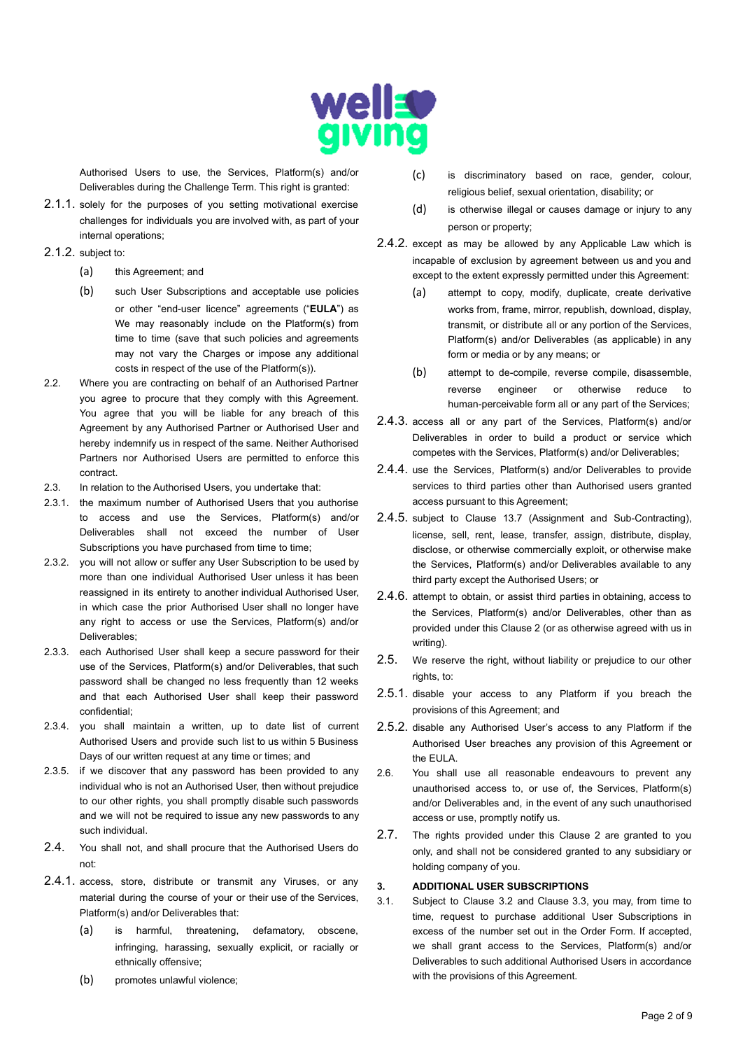

Authorised Users to use, the Services, Platform(s) and/or Deliverables during the Challenge Term. This right is granted:

2.1.1. solely for the purposes of you setting motivational exercise challenges for individuals you are involved with, as part of your internal operations;

# 2.1.2. subject to:

- (a) this Agreement; and
- (b) such User Subscriptions and acceptable use policies or other "end-user licence" agreements ("**EULA**") as We may reasonably include on the Platform(s) from time to time (save that such policies and agreements may not vary the Charges or impose any additional costs in respect of the use of the Platform(s)).
- 2.2. Where you are contracting on behalf of an Authorised Partner you agree to procure that they comply with this Agreement. You agree that you will be liable for any breach of this Agreement by any Authorised Partner or Authorised User and hereby indemnify us in respect of the same. Neither Authorised Partners nor Authorised Users are permitted to enforce this contract.
- 2.3. In relation to the Authorised Users, you undertake that:
- 2.3.1. the maximum number of Authorised Users that you authorise to access and use the Services, Platform(s) and/or Deliverables shall not exceed the number of User Subscriptions you have purchased from time to time:
- 2.3.2. you will not allow or suffer any User Subscription to be used by more than one individual Authorised User unless it has been reassigned in its entirety to another individual Authorised User, in which case the prior Authorised User shall no longer have any right to access or use the Services, Platform(s) and/or Deliverables;
- 2.3.3. each Authorised User shall keep a secure password for their use of the Services, Platform(s) and/or Deliverables, that such password shall be changed no less frequently than 12 weeks and that each Authorised User shall keep their password confidential;
- 2.3.4. you shall maintain a written, up to date list of current Authorised Users and provide such list to us within 5 Business Days of our written request at any time or times; and
- 2.3.5. if we discover that any password has been provided to any individual who is not an Authorised User, then without prejudice to our other rights, you shall promptly disable such passwords and we will not be required to issue any new passwords to any such individual.
- 2.4. You shall not, and shall procure that the Authorised Users do not:
- 2.4.1. access, store, distribute or transmit any Viruses, or any material during the course of your or their use of the Services, Platform(s) and/or Deliverables that:
	- (a) is harmful, threatening, defamatory, obscene, infringing, harassing, sexually explicit, or racially or ethnically offensive;
	- (b) promotes unlawful violence;
- (c) is discriminatory based on race, gender, colour, religious belief, sexual orientation, disability; or
- (d) is otherwise illegal or causes damage or injury to any person or property;
- 2.4.2. except as may be allowed by any Applicable Law which is incapable of exclusion by agreement between us and you and except to the extent expressly permitted under this Agreement:
	- (a) attempt to copy, modify, duplicate, create derivative works from, frame, mirror, republish, download, display, transmit, or distribute all or any portion of the Services, Platform(s) and/or Deliverables (as applicable) in any form or media or by any means; or
	- (b) attempt to de-compile, reverse compile, disassemble, reverse engineer or otherwise reduce to human-perceivable form all or any part of the Services;
- 2.4.3. access all or any part of the Services, Platform(s) and/or Deliverables in order to build a product or service which competes with the Services, Platform(s) and/or Deliverables;
- 2.4.4. use the Services, Platform(s) and/or Deliverables to provide services to third parties other than Authorised users granted access pursuant to this Agreement;
- 2.4.5. subject to Clause 13.7 (Assignment and Sub-Contracting), license, sell, rent, lease, transfer, assign, distribute, display, disclose, or otherwise commercially exploit, or otherwise make the Services, Platform(s) and/or Deliverables available to any third party except the Authorised Users; or
- 2.4.6. attempt to obtain, or assist third parties in obtaining, access to the Services, Platform(s) and/or Deliverables, other than as provided under this Clause 2 (or as otherwise agreed with us in writing).
- 2.5. We reserve the right, without liability or prejudice to our other rights, to:
- 2.5.1. disable your access to any Platform if you breach the provisions of this Agreement; and
- 2.5.2. disable any Authorised User's access to any Platform if the Authorised User breaches any provision of this Agreement or the EULA.
- 2.6. You shall use all reasonable endeavours to prevent any unauthorised access to, or use of, the Services, Platform(s) and/or Deliverables and, in the event of any such unauthorised access or use, promptly notify us.
- 2.7. The rights provided under this Clause 2 are granted to you only, and shall not be considered granted to any subsidiary or holding company of you.

### **3. ADDITIONAL USER SUBSCRIPTIONS**

3.1. Subject to Clause 3.2 and Clause 3.3, you may, from time to time, request to purchase additional User Subscriptions in excess of the number set out in the Order Form. If accepted, we shall grant access to the Services, Platform(s) and/or Deliverables to such additional Authorised Users in accordance with the provisions of this Agreement.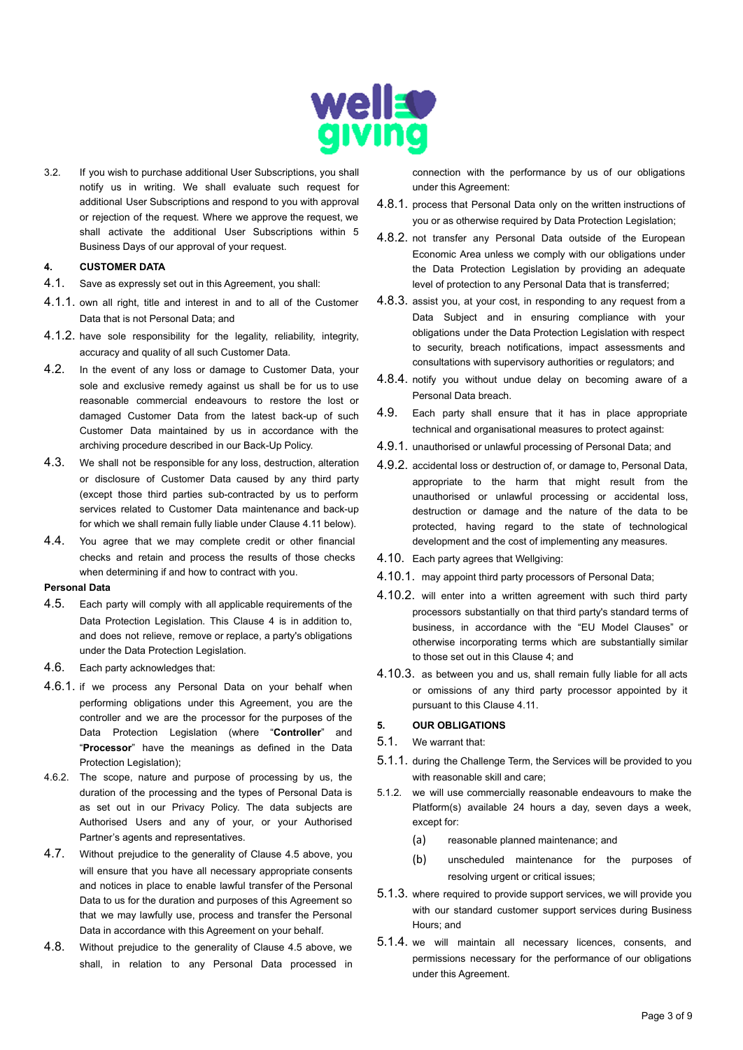

3.2. If you wish to purchase additional User Subscriptions, you shall notify us in writing. We shall evaluate such request for additional User Subscriptions and respond to you with approval or rejection of the request. Where we approve the request, we shall activate the additional User Subscriptions within 5 Business Days of our approval of your request.

# **4. CUSTOMER DATA**

- 4.1. Save as expressly set out in this Agreement, you shall:
- 4.1.1. own all right, title and interest in and to all of the Customer Data that is not Personal Data; and
- 4.1.2. have sole responsibility for the legality, reliability, integrity, accuracy and quality of all such Customer Data.
- 4.2. In the event of any loss or damage to Customer Data, your sole and exclusive remedy against us shall be for us to use reasonable commercial endeavours to restore the lost or damaged Customer Data from the latest back-up of such Customer Data maintained by us in accordance with the archiving procedure described in our Back-Up Policy.
- 4.3. We shall not be responsible for any loss, destruction, alteration or disclosure of Customer Data caused by any third party (except those third parties sub-contracted by us to perform services related to Customer Data maintenance and back-up for which we shall remain fully liable under Clause 4.11 below).
- 4.4. You agree that we may complete credit or other financial checks and retain and process the results of those checks when determining if and how to contract with you.

#### **Personal Data**

- 4.5. Each party will comply with all applicable requirements of the Data Protection Legislation. This Clause 4 is in addition to, and does not relieve, remove or replace, a party's obligations under the Data Protection Legislation.
- 4.6. Each party acknowledges that:
- 4.6.1. if we process any Personal Data on your behalf when performing obligations under this Agreement, you are the controller and we are the processor for the purposes of the Data Protection Legislation (where "**Controller**" and "**Processor**" have the meanings as defined in the Data Protection Legislation):
- 4.6.2. The scope, nature and purpose of processing by us, the duration of the processing and the types of Personal Data is as set out in our Privacy Policy. The data subjects are Authorised Users and any of your, or your Authorised Partner's agents and representatives.
- 4.7. Without prejudice to the generality of Clause 4.5 above, you will ensure that you have all necessary appropriate consents and notices in place to enable lawful transfer of the Personal Data to us for the duration and purposes of this Agreement so that we may lawfully use, process and transfer the Personal Data in accordance with this Agreement on your behalf.
- 4.8. Without prejudice to the generality of Clause 4.5 above, we shall, in relation to any Personal Data processed in

connection with the performance by us of our obligations under this Agreement:

- 4.8.1. process that Personal Data only on the written instructions of you or as otherwise required by Data Protection Legislation;
- 4.8.2. not transfer any Personal Data outside of the European Economic Area unless we comply with our obligations under the Data Protection Legislation by providing an adequate level of protection to any Personal Data that is transferred;
- 4.8.3. assist you, at your cost, in responding to any request from a Data Subject and in ensuring compliance with your obligations under the Data Protection Legislation with respect to security, breach notifications, impact assessments and consultations with supervisory authorities or regulators; and
- 4.8.4. notify you without undue delay on becoming aware of a Personal Data breach.
- 4.9. Each party shall ensure that it has in place appropriate technical and organisational measures to protect against:
- 4.9.1. unauthorised or unlawful processing of Personal Data; and
- 4.9.2. accidental loss or destruction of, or damage to, Personal Data, appropriate to the harm that might result from the unauthorised or unlawful processing or accidental loss, destruction or damage and the nature of the data to be protected, having regard to the state of technological development and the cost of implementing any measures.
- 4.10. Each party agrees that Wellgiving:
- 4.10.1. may appoint third party processors of Personal Data;
- 4.10.2. will enter into a written agreement with such third party processors substantially on that third party's standard terms of business, in accordance with the "EU Model Clauses" or otherwise incorporating terms which are substantially similar to those set out in this Clause 4; and
- 4.10.3. as between you and us, shall remain fully liable for all acts or omissions of any third party processor appointed by it pursuant to this Clause 4.11.

### **5. OUR OBLIGATIONS**

- 5.1. We warrant that:
- 5.1.1. during the Challenge Term, the Services will be provided to you with reasonable skill and care;
- 5.1.2. we will use commercially reasonable endeavours to make the Platform(s) available 24 hours a day, seven days a week, except for:
	- (a) reasonable planned maintenance; and
	- (b) unscheduled maintenance for the purposes of resolving urgent or critical issues;
- 5.1.3. where required to provide support services, we will provide you with our standard customer support services during Business Hours; and
- 5.1.4. we will maintain all necessary licences, consents, and permissions necessary for the performance of our obligations under this Agreement.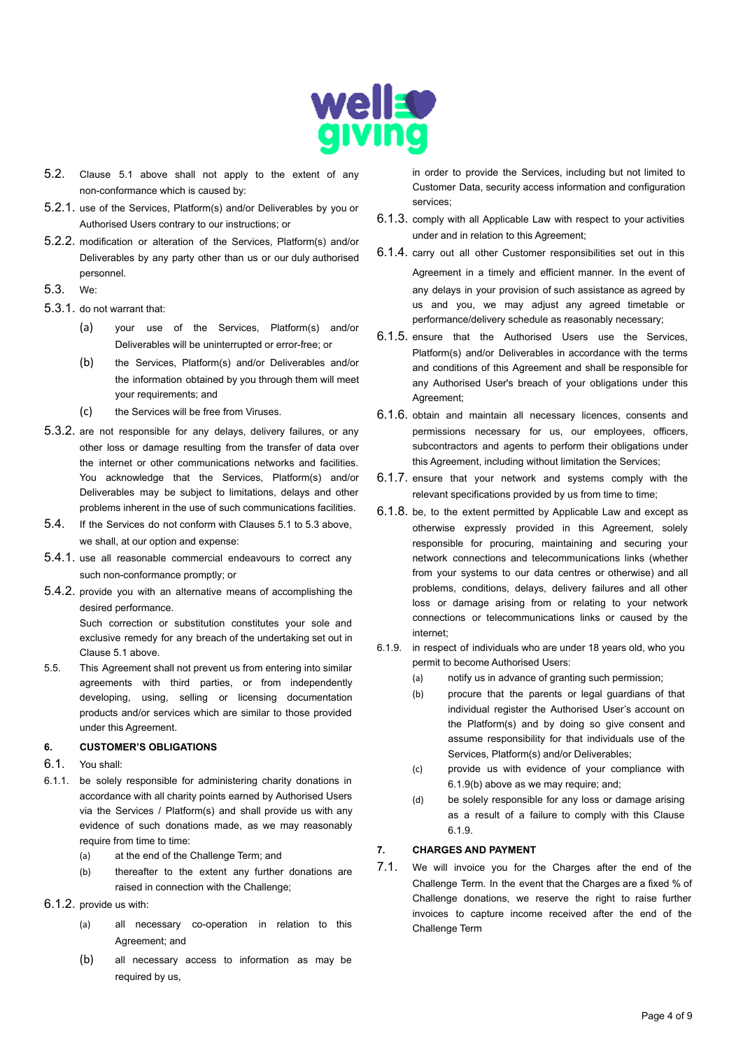

- 5.2. Clause 5.1 above shall not apply to the extent of any non-conformance which is caused by:
- 5.2.1. use of the Services, Platform(s) and/or Deliverables by you or Authorised Users contrary to our instructions; or
- 5.2.2. modification or alteration of the Services, Platform(s) and/or Deliverables by any party other than us or our duly authorised personnel.
- 5.3. We:
- 5.3.1. do not warrant that:
	- (a) your use of the Services, Platform(s) and/or Deliverables will be uninterrupted or error-free; or
	- (b) the Services, Platform(s) and/or Deliverables and/or the information obtained by you through them will meet your requirements; and
	- (c) the Services will be free from Viruses.
- 5.3.2. are not responsible for any delays, delivery failures, or any other loss or damage resulting from the transfer of data over the internet or other communications networks and facilities. You acknowledge that the Services, Platform(s) and/or Deliverables may be subject to limitations, delays and other problems inherent in the use of such communications facilities.
- 5.4. If the Services do not conform with Clauses 5.1 to 5.3 above, we shall, at our option and expense:
- 5.4.1. use all reasonable commercial endeavours to correct any such non-conformance promptly; or
- 5.4.2. provide you with an alternative means of accomplishing the desired performance.

Such correction or substitution constitutes your sole and exclusive remedy for any breach of the undertaking set out in Clause 5.1 above.

5.5. This Agreement shall not prevent us from entering into similar agreements with third parties, or from independently developing, using, selling or licensing documentation products and/or services which are similar to those provided under this Agreement.

## **6. CUSTOMER'S OBLIGATIONS**

- 6.1. You shall:
- 6.1.1. be solely responsible for administering charity donations in accordance with all charity points earned by Authorised Users via the Services / Platform(s) and shall provide us with any evidence of such donations made, as we may reasonably require from time to time:
	- (a) at the end of the Challenge Term; and
	- (b) thereafter to the extent any further donations are raised in connection with the Challenge;
- 6.1.2. provide us with:
	- (a) all necessary co-operation in relation to this Agreement; and
	- (b) all necessary access to information as may be required by us,

in order to provide the Services, including but not limited to Customer Data, security access information and configuration services;

- 6.1.3. comply with all Applicable Law with respect to your activities under and in relation to this Agreement;
- 6.1.4. carry out all other Customer responsibilities set out in this Agreement in a timely and efficient manner. In the event of any delays in your provision of such assistance as agreed by us and you, we may adjust any agreed timetable or performance/delivery schedule as reasonably necessary;
- 6.1.5. ensure that the Authorised Users use the Services, Platform(s) and/or Deliverables in accordance with the terms and conditions of this Agreement and shall be responsible for any Authorised User's breach of your obligations under this Agreement;
- 6.1.6. obtain and maintain all necessary licences, consents and permissions necessary for us, our employees, officers, subcontractors and agents to perform their obligations under this Agreement, including without limitation the Services;
- 6.1.7. ensure that your network and systems comply with the relevant specifications provided by us from time to time;
- 6.1.8. be, to the extent permitted by Applicable Law and except as otherwise expressly provided in this Agreement, solely responsible for procuring, maintaining and securing your network connections and telecommunications links (whether from your systems to our data centres or otherwise) and all problems, conditions, delays, delivery failures and all other loss or damage arising from or relating to your network connections or telecommunications links or caused by the internet;
- 6.1.9. in respect of individuals who are under 18 years old, who you permit to become Authorised Users:
	- (a) notify us in advance of granting such permission;
	- (b) procure that the parents or legal guardians of that individual register the Authorised User's account on the Platform(s) and by doing so give consent and assume responsibility for that individuals use of the Services, Platform(s) and/or Deliverables;
	- (c) provide us with evidence of your compliance with 6.1.9(b) above as we may require; and;
	- (d) be solely responsible for any loss or damage arising as a result of a failure to comply with this Clause 6.1.9.

### **7. CHARGES AND PAYMENT**

7.1. We will invoice you for the Charges after the end of the Challenge Term. In the event that the Charges are a fixed % of Challenge donations, we reserve the right to raise further invoices to capture income received after the end of the Challenge Term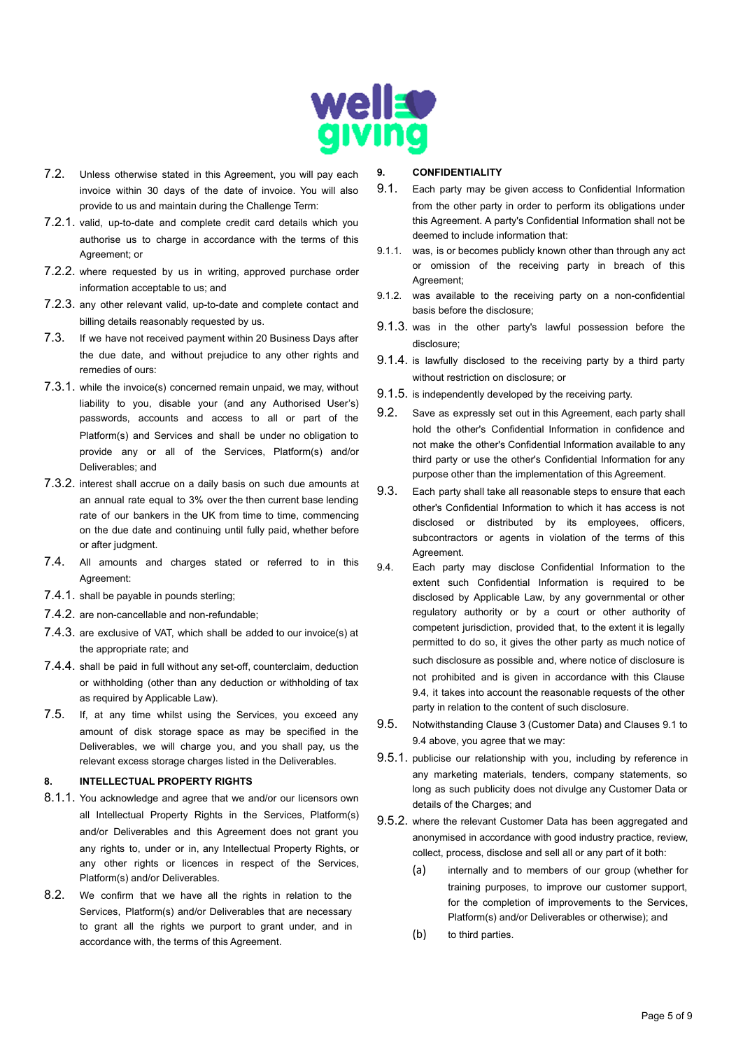

- 7.2. Unless otherwise stated in this Agreement, you will pay each invoice within 30 days of the date of invoice. You will also provide to us and maintain during the Challenge Term:
- 7.2.1. valid, up-to-date and complete credit card details which you authorise us to charge in accordance with the terms of this Agreement; or
- 7.2.2. where requested by us in writing, approved purchase order information acceptable to us; and
- 7.2.3. any other relevant valid, up-to-date and complete contact and billing details reasonably requested by us.
- 7.3. If we have not received payment within 20 Business Days after the due date, and without prejudice to any other rights and remedies of ours:
- 7.3.1. while the invoice(s) concerned remain unpaid, we may, without liability to you, disable your (and any Authorised User's) passwords, accounts and access to all or part of the Platform(s) and Services and shall be under no obligation to provide any or all of the Services, Platform(s) and/or Deliverables; and
- 7.3.2. interest shall accrue on a daily basis on such due amounts at an annual rate equal to 3% over the then current base lending rate of our bankers in the UK from time to time, commencing on the due date and continuing until fully paid, whether before or after judgment.
- 7.4. All amounts and charges stated or referred to in this Agreement:
- 7.4.1. shall be payable in pounds sterling;
- 7.4.2. are non-cancellable and non-refundable;
- 7.4.3. are exclusive of VAT, which shall be added to our invoice(s) at the appropriate rate; and
- 7.4.4. shall be paid in full without any set-off, counterclaim, deduction or withholding (other than any deduction or withholding of tax as required by Applicable Law).
- 7.5. If, at any time whilst using the Services, you exceed any amount of disk storage space as may be specified in the Deliverables, we will charge you, and you shall pay, us the relevant excess storage charges listed in the Deliverables.

### **8. INTELLECTUAL PROPERTY RIGHTS**

- 8.1.1. You acknowledge and agree that we and/or our licensors own all Intellectual Property Rights in the Services, Platform(s) and/or Deliverables and this Agreement does not grant you any rights to, under or in, any Intellectual Property Rights, or any other rights or licences in respect of the Services, Platform(s) and/or Deliverables.
- 8.2. We confirm that we have all the rights in relation to the Services, Platform(s) and/or Deliverables that are necessary to grant all the rights we purport to grant under, and in accordance with, the terms of this Agreement.

#### **9. CONFIDENTIALITY**

- 9.1. Each party may be given access to Confidential Information from the other party in order to perform its obligations under this Agreement. A party's Confidential Information shall not be deemed to include information that:
- 9.1.1. was, is or becomes publicly known other than through any act or omission of the receiving party in breach of this Agreement;
- 9.1.2. was available to the receiving party on a non-confidential basis before the disclosure;
- 9.1.3. was in the other party's lawful possession before the disclosure;
- 9.1.4. is lawfully disclosed to the receiving party by a third party without restriction on disclosure; or
- 9.1.5. is independently developed by the receiving party.
- 9.2. Save as expressly set out in this Agreement, each party shall hold the other's Confidential Information in confidence and not make the other's Confidential Information available to any third party or use the other's Confidential Information for any purpose other than the implementation of this Agreement.
- 9.3. Each party shall take all reasonable steps to ensure that each other's Confidential Information to which it has access is not disclosed or distributed by its employees, officers, subcontractors or agents in violation of the terms of this Agreement.
- 9.4. Each party may disclose Confidential Information to the extent such Confidential Information is required to be disclosed by Applicable Law, by any governmental or other regulatory authority or by a court or other authority of competent jurisdiction, provided that, to the extent it is legally permitted to do so, it gives the other party as much notice of such disclosure as possible and, where notice of disclosure is not prohibited and is given in accordance with this Clause 9.4, it takes into account the reasonable requests of the other party in relation to the content of such disclosure.
- 9.5. Notwithstanding Clause 3 (Customer Data) and Clauses 9.1 to 9.4 above, you agree that we may:
- 9.5.1. publicise our relationship with you, including by reference in any marketing materials, tenders, company statements, so long as such publicity does not divulge any Customer Data or details of the Charges; and
- 9.5.2. where the relevant Customer Data has been aggregated and anonymised in accordance with good industry practice, review, collect, process, disclose and sell all or any part of it both:
	- (a) internally and to members of our group (whether for training purposes, to improve our customer support, for the completion of improvements to the Services, Platform(s) and/or Deliverables or otherwise); and
	- (b) to third parties.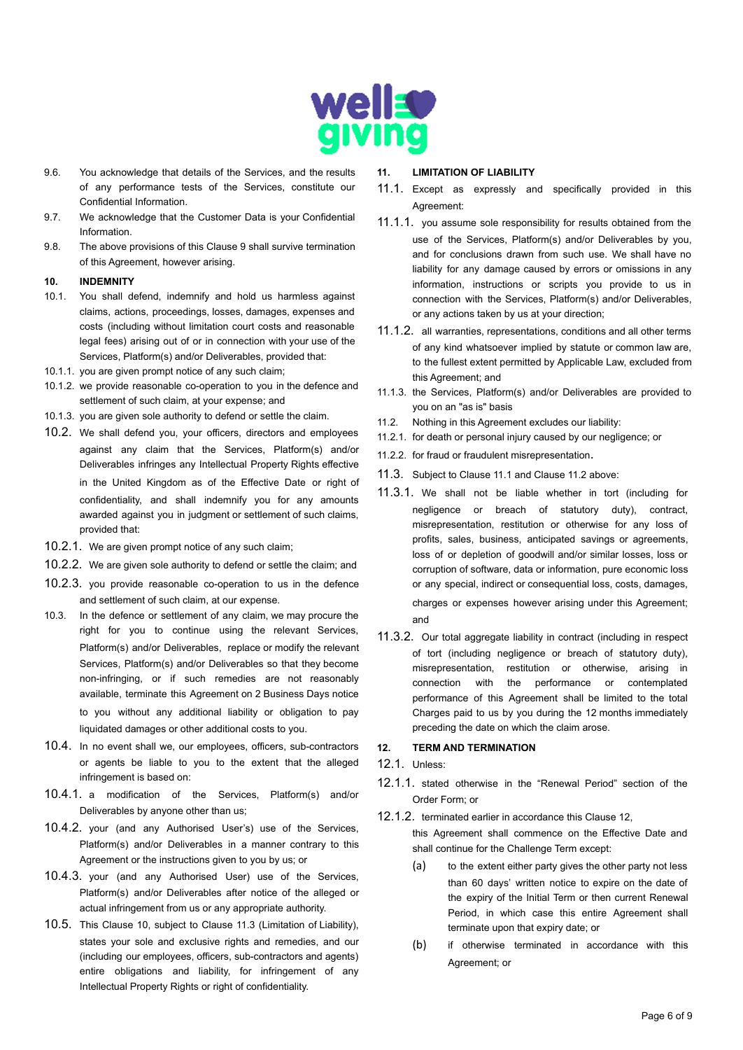

- 9.6. You acknowledge that details of the Services, and the results of any performance tests of the Services, constitute our Confidential Information.
- 9.7. We acknowledge that the Customer Data is your Confidential Information.
- 9.8. The above provisions of this Clause 9 shall survive termination of this Agreement, however arising.

### **10. INDEMNITY**

- 10.1. You shall defend, indemnify and hold us harmless against claims, actions, proceedings, losses, damages, expenses and costs (including without limitation court costs and reasonable legal fees) arising out of or in connection with your use of the Services, Platform(s) and/or Deliverables, provided that:
- 10.1.1. you are given prompt notice of any such claim;
- 10.1.2. we provide reasonable co-operation to you in the defence and settlement of such claim, at your expense; and
- 10.1.3. you are given sole authority to defend or settle the claim.
- 10.2. We shall defend you, your officers, directors and employees against any claim that the Services, Platform(s) and/or Deliverables infringes any Intellectual Property Rights effective in the United Kingdom as of the Effective Date or right of confidentiality, and shall indemnify you for any amounts awarded against you in judgment or settlement of such claims, provided that:
- 10.2.1. We are given prompt notice of any such claim;
- 10.2.2. We are given sole authority to defend or settle the claim; and
- 10.2.3. you provide reasonable co-operation to us in the defence and settlement of such claim, at our expense.
- 10.3. In the defence or settlement of any claim, we may procure the right for you to continue using the relevant Services, Platform(s) and/or Deliverables, replace or modify the relevant Services, Platform(s) and/or Deliverables so that they become non-infringing, or if such remedies are not reasonably available, terminate this Agreement on 2 Business Days notice to you without any additional liability or obligation to pay liquidated damages or other additional costs to you.
- 10.4. In no event shall we, our employees, officers, sub-contractors or agents be liable to you to the extent that the alleged infringement is based on:
- 10.4.1. a modification of the Services, Platform(s) and/or Deliverables by anyone other than us;
- 10.4.2. your (and any Authorised User's) use of the Services, Platform(s) and/or Deliverables in a manner contrary to this Agreement or the instructions given to you by us; or
- 10.4.3. your (and any Authorised User) use of the Services, Platform(s) and/or Deliverables after notice of the alleged or actual infringement from us or any appropriate authority.
- 10.5. This Clause 10, subject to Clause 11.3 (Limitation of Liability), states your sole and exclusive rights and remedies, and our (including our employees, officers, sub-contractors and agents) entire obligations and liability, for infringement of any Intellectual Property Rights or right of confidentiality.

### **11. LIMITATION OF LIABILITY**

- 11.1. Except as expressly and specifically provided in this Agreement:
- 11.1.1. you assume sole responsibility for results obtained from the use of the Services, Platform(s) and/or Deliverables by you, and for conclusions drawn from such use. We shall have no liability for any damage caused by errors or omissions in any information, instructions or scripts you provide to us in connection with the Services, Platform(s) and/or Deliverables, or any actions taken by us at your direction;
- 11.1.2. all warranties, representations, conditions and all other terms of any kind whatsoever implied by statute or common law are, to the fullest extent permitted by Applicable Law, excluded from this Agreement; and
- 11.1.3. the Services, Platform(s) and/or Deliverables are provided to you on an "as is" basis
- 11.2. Nothing in this Agreement excludes our liability:
- 11.2.1. for death or personal injury caused by our negligence; or
- 11.2.2. for fraud or fraudulent misrepresentation.
- 11.3. Subject to Clause 11.1 and Clause 11.2 above:
- 11.3.1. We shall not be liable whether in tort (including for negligence or breach of statutory duty), contract, misrepresentation, restitution or otherwise for any loss of profits, sales, business, anticipated savings or agreements, loss of or depletion of goodwill and/or similar losses, loss or corruption of software, data or information, pure economic loss or any special, indirect or consequential loss, costs, damages, charges or expenses however arising under this Agreement; and
- 11.3.2. Our total aggregate liability in contract (including in respect of tort (including negligence or breach of statutory duty), misrepresentation, restitution or otherwise, arising in connection with the performance or contemplated performance of this Agreement shall be limited to the total Charges paid to us by you during the 12 months immediately preceding the date on which the claim arose.

# **12. TERM AND TERMINATION**

### 12.1. Unless:

12.1.1. stated otherwise in the "Renewal Period" section of the Order Form; or

#### 12.1.2. terminated earlier in accordance this Clause 12,

this Agreement shall commence on the Effective Date and shall continue for the Challenge Term except:

- (a) to the extent either party gives the other party not less than 60 days' written notice to expire on the date of the expiry of the Initial Term or then current Renewal Period, in which case this entire Agreement shall terminate upon that expiry date; or
- (b) if otherwise terminated in accordance with this Agreement; or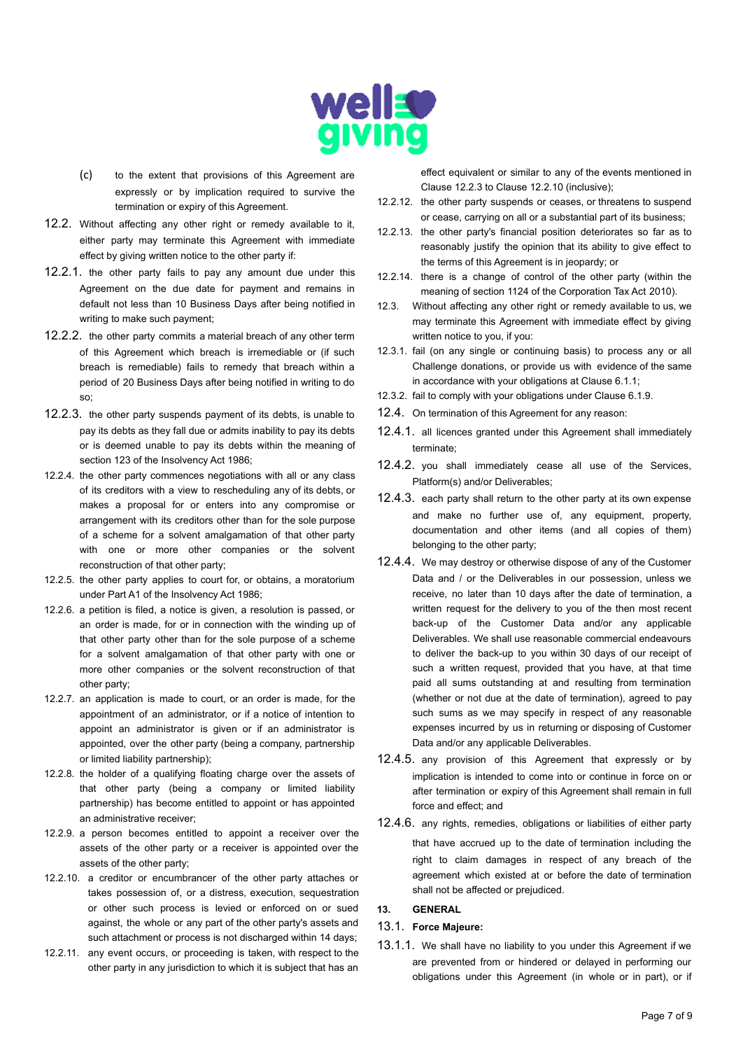

- (c) to the extent that provisions of this Agreement are expressly or by implication required to survive the termination or expiry of this Agreement.
- 12.2. Without affecting any other right or remedy available to it, either party may terminate this Agreement with immediate effect by giving written notice to the other party if:
- 12.2.1. the other party fails to pay any amount due under this Agreement on the due date for payment and remains in default not less than 10 Business Days after being notified in writing to make such payment;
- 12.2.2. the other party commits a material breach of any other term of this Agreement which breach is irremediable or (if such breach is remediable) fails to remedy that breach within a period of 20 Business Days after being notified in writing to do so;
- 12.2.3. the other party suspends payment of its debts, is unable to pay its debts as they fall due or admits inability to pay its debts or is deemed unable to pay its debts within the meaning of section 123 of the Insolvency Act 1986;
- 12.2.4. the other party commences negotiations with all or any class of its creditors with a view to rescheduling any of its debts, or makes a proposal for or enters into any compromise or arrangement with its creditors other than for the sole purpose of a scheme for a solvent amalgamation of that other party with one or more other companies or the solvent reconstruction of that other party;
- 12.2.5. the other party applies to court for, or obtains, a moratorium under Part A1 of the Insolvency Act 1986;
- 12.2.6. a petition is filed, a notice is given, a resolution is passed, or an order is made, for or in connection with the winding up of that other party other than for the sole purpose of a scheme for a solvent amalgamation of that other party with one or more other companies or the solvent reconstruction of that other party;
- 12.2.7. an application is made to court, or an order is made, for the appointment of an administrator, or if a notice of intention to appoint an administrator is given or if an administrator is appointed, over the other party (being a company, partnership or limited liability partnership);
- 12.2.8. the holder of a qualifying floating charge over the assets of that other party (being a company or limited liability partnership) has become entitled to appoint or has appointed an administrative receiver;
- 12.2.9. a person becomes entitled to appoint a receiver over the assets of the other party or a receiver is appointed over the assets of the other party;
- 12.2.10. a creditor or encumbrancer of the other party attaches or takes possession of, or a distress, execution, sequestration or other such process is levied or enforced on or sued against, the whole or any part of the other party's assets and such attachment or process is not discharged within 14 days;
- 12.2.11. any event occurs, or proceeding is taken, with respect to the other party in any jurisdiction to which it is subject that has an

effect equivalent or similar to any of the events mentioned in Clause 12.2.3 to Clause 12.2.10 (inclusive);

- 12.2.12. the other party suspends or ceases, or threatens to suspend or cease, carrying on all or a substantial part of its business;
- 12.2.13. the other party's financial position deteriorates so far as to reasonably justify the opinion that its ability to give effect to the terms of this Agreement is in jeopardy; or
- 12.2.14. there is a change of control of the other party (within the meaning of section 1124 of the Corporation Tax Act 2010).
- 12.3. Without affecting any other right or remedy available to us, we may terminate this Agreement with immediate effect by giving written notice to you, if you:
- 12.3.1. fail (on any single or continuing basis) to process any or all Challenge donations, or provide us with evidence of the same in accordance with your obligations at Clause 6.1.1;
- 12.3.2. fail to comply with your obligations under Clause 6.1.9.
- 12.4. On termination of this Agreement for any reason:
- 12.4.1. all licences granted under this Agreement shall immediately terminate;
- 12.4.2. you shall immediately cease all use of the Services, Platform(s) and/or Deliverables;
- 12.4.3. each party shall return to the other party at its own expense and make no further use of, any equipment, property, documentation and other items (and all copies of them) belonging to the other party;
- 12.4.4. We may destroy or otherwise dispose of any of the Customer Data and / or the Deliverables in our possession, unless we receive, no later than 10 days after the date of termination, a written request for the delivery to you of the then most recent back-up of the Customer Data and/or any applicable Deliverables. We shall use reasonable commercial endeavours to deliver the back-up to you within 30 days of our receipt of such a written request, provided that you have, at that time paid all sums outstanding at and resulting from termination (whether or not due at the date of termination), agreed to pay such sums as we may specify in respect of any reasonable expenses incurred by us in returning or disposing of Customer Data and/or any applicable Deliverables.
- 12.4.5. any provision of this Agreement that expressly or by implication is intended to come into or continue in force on or after termination or expiry of this Agreement shall remain in full force and effect; and
- 12.4.6. any rights, remedies, obligations or liabilities of either party that have accrued up to the date of termination including the right to claim damages in respect of any breach of the agreement which existed at or before the date of termination shall not be affected or prejudiced.

# **13. GENERAL**

#### 13.1. **Force Majeure:**

13.1.1. We shall have no liability to you under this Agreement if we are prevented from or hindered or delayed in performing our obligations under this Agreement (in whole or in part), or if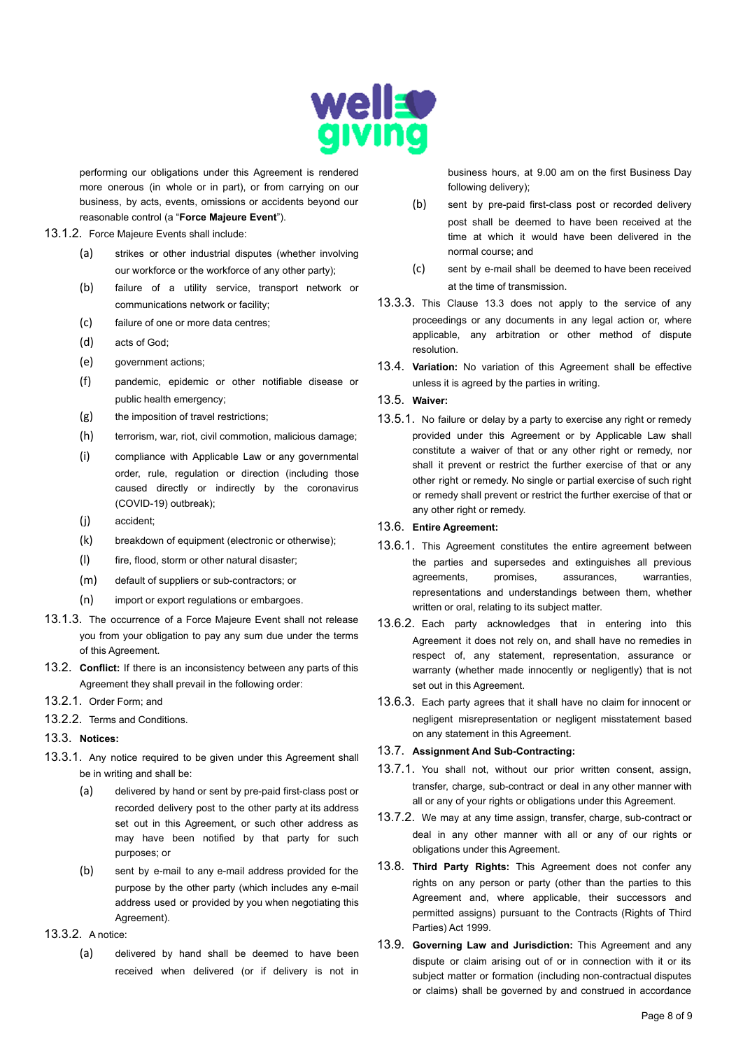

performing our obligations under this Agreement is rendered more onerous (in whole or in part), or from carrying on our business, by acts, events, omissions or accidents beyond our reasonable control (a "**Force Majeure Event**").

- 13.1.2. Force Majeure Events shall include:
	- (a) strikes or other industrial disputes (whether involving our workforce or the workforce of any other party);
	- (b) failure of a utility service, transport network or communications network or facility;
	- (c) failure of one or more data centres;
	- (d) acts of God;
	- (e) government actions;
	- (f) pandemic, epidemic or other notifiable disease or public health emergency;
	- (g) the imposition of travel restrictions;
	- (h) terrorism, war, riot, civil commotion, malicious damage;
	- (i) compliance with Applicable Law or any governmental order, rule, regulation or direction (including those caused directly or indirectly by the coronavirus (COVID-19) outbreak);
	- (j) accident;
	- (k) breakdown of equipment (electronic or otherwise);
	- (l) fire, flood, storm or other natural disaster;
	- (m) default of suppliers or sub-contractors; or
	- (n) import or export regulations or embargoes.
- 13.1.3. The occurrence of a Force Majeure Event shall not release you from your obligation to pay any sum due under the terms of this Agreement.
- 13.2. **Conflict:** If there is an inconsistency between any parts of this Agreement they shall prevail in the following order:
- 13.2.1. Order Form; and
- 13.2.2. Terms and Conditions.

### 13.3. **Notices:**

- 13.3.1. Any notice required to be given under this Agreement shall be in writing and shall be:
	- (a) delivered by hand or sent by pre-paid first-class post or recorded delivery post to the other party at its address set out in this Agreement, or such other address as may have been notified by that party for such purposes; or
	- (b) sent by e-mail to any e-mail address provided for the purpose by the other party (which includes any e-mail address used or provided by you when negotiating this Agreement).

# 13.3.2. A notice:

(a) delivered by hand shall be deemed to have been received when delivered (or if delivery is not in business hours, at 9.00 am on the first Business Day following delivery);

- (b) sent by pre-paid first-class post or recorded delivery post shall be deemed to have been received at the time at which it would have been delivered in the normal course; and
- (c) sent by e-mail shall be deemed to have been received at the time of transmission.
- 13.3.3. This Clause 13.3 does not apply to the service of any proceedings or any documents in any legal action or, where applicable, any arbitration or other method of dispute resolution.
- 13.4. **Variation:** No variation of this Agreement shall be effective unless it is agreed by the parties in writing.

### 13.5. **Waiver:**

13.5.1. No failure or delay by a party to exercise any right or remedy provided under this Agreement or by Applicable Law shall constitute a waiver of that or any other right or remedy, nor shall it prevent or restrict the further exercise of that or any other right or remedy. No single or partial exercise of such right or remedy shall prevent or restrict the further exercise of that or any other right or remedy.

## 13.6. **Entire Agreement:**

- 13.6.1. This Agreement constitutes the entire agreement between the parties and supersedes and extinguishes all previous agreements, promises, assurances, warranties, representations and understandings between them, whether written or oral, relating to its subject matter.
- 13.6.2. Each party acknowledges that in entering into this Agreement it does not rely on, and shall have no remedies in respect of, any statement, representation, assurance or warranty (whether made innocently or negligently) that is not set out in this Agreement.
- 13.6.3. Each party agrees that it shall have no claim for innocent or negligent misrepresentation or negligent misstatement based on any statement in this Agreement.

# 13.7. **Assignment And Sub-Contracting:**

- 13.7.1. You shall not, without our prior written consent, assign, transfer, charge, sub-contract or deal in any other manner with all or any of your rights or obligations under this Agreement.
- 13.7.2. We may at any time assign, transfer, charge, sub-contract or deal in any other manner with all or any of our rights or obligations under this Agreement.
- 13.8. **Third Party Rights:** This Agreement does not confer any rights on any person or party (other than the parties to this Agreement and, where applicable, their successors and permitted assigns) pursuant to the Contracts (Rights of Third Parties) Act 1999.
- 13.9. **Governing Law and Jurisdiction:** This Agreement and any dispute or claim arising out of or in connection with it or its subject matter or formation (including non-contractual disputes or claims) shall be governed by and construed in accordance